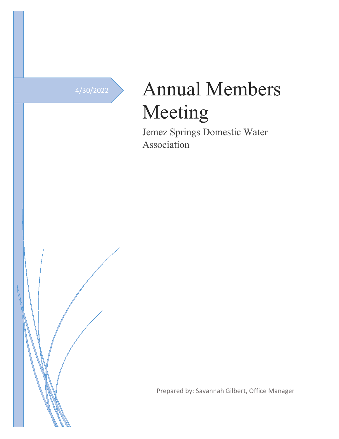# 4/30/2022 Annual Members Meeting

Jemez Springs Domestic Water Association

Prepared by: Savannah Gilbert, Office Manager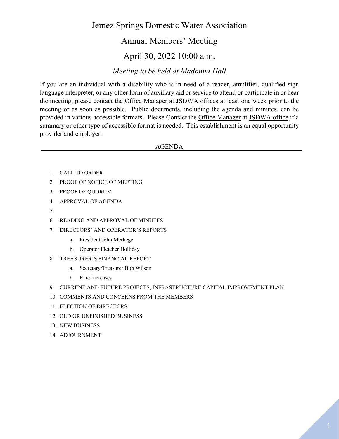## Jemez Springs Domestic Water Association

### Annual Members' Meeting

## April 30, 2022 10:00 a.m.

#### *Meeting to be held at Madonna Hall*

If you are an individual with a disability who is in need of a reader, amplifier, qualified sign language interpreter, or any other form of auxiliary aid or service to attend or participate in or hear the meeting, please contact the Office Manager at JSDWA offices at least one week prior to the meeting or as soon as possible. Public documents, including the agenda and minutes, can be provided in various accessible formats. Please Contact the Office Manager at JSDWA office if a summary or other type of accessible format is needed. This establishment is an equal opportunity provider and employer.

#### AGENDA

- 1. CALL TO ORDER
- 2. PROOF OF NOTICE OF MEETING
- 3. PROOF OF QUORUM
- 4. APPROVAL OF AGENDA
- 5.
- 6. READING AND APPROVAL OF MINUTES
- 7. DIRECTORS' AND OPERATOR'S REPORTS
	- a. President John Merhege
	- b. Operator Fletcher Holliday
- 8. TREASURER'S FINANCIAL REPORT
	- a. Secretary/Treasurer Bob Wilson
	- b. Rate Increases
- 9. CURRENT AND FUTURE PROJECTS, INFRASTRUCTURE CAPITAL IMPROVEMENT PLAN
- 10. COMMENTS AND CONCERNS FROM THE MEMBERS
- 11. ELECTION OF DIRECTORS
- 12. OLD OR UNFINISHED BUSINESS
- 13. NEW BUSINESS
- 14. ADJOURNMENT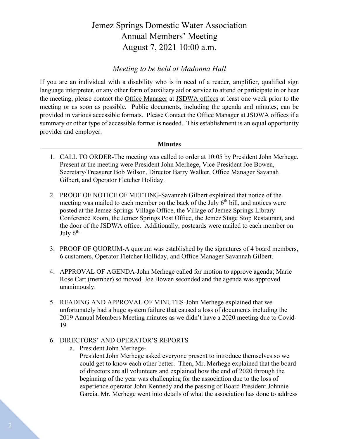# Jemez Springs Domestic Water Association Annual Members' Meeting August 7, 2021 10:00 a.m.

#### *Meeting to be held at Madonna Hall*

If you are an individual with a disability who is in need of a reader, amplifier, qualified sign language interpreter, or any other form of auxiliary aid or service to attend or participate in or hear the meeting, please contact the Office Manager at JSDWA offices at least one week prior to the meeting or as soon as possible. Public documents, including the agenda and minutes, can be provided in various accessible formats. Please Contact the Office Manager at JSDWA offices if a summary or other type of accessible format is needed. This establishment is an equal opportunity provider and employer.

#### **Minutes**

- 1. CALL TO ORDER-The meeting was called to order at 10:05 by President John Merhege. Present at the meeting were President John Merhege, Vice-President Joe Bowen, Secretary/Treasurer Bob Wilson, Director Barry Walker, Office Manager Savanah Gilbert, and Operator Fletcher Holiday.
- 2. PROOF OF NOTICE OF MEETING-Savannah Gilbert explained that notice of the meeting was mailed to each member on the back of the July  $6<sup>th</sup>$  bill, and notices were posted at the Jemez Springs Village Office, the Village of Jemez Springs Library Conference Room, the Jemez Springs Post Office, the Jemez Stage Stop Restaurant, and the door of the JSDWA office. Additionally, postcards were mailed to each member on July  $6^{\text{th}}$ .
- 3. PROOF OF QUORUM-A quorum was established by the signatures of 4 board members, 6 customers, Operator Fletcher Holliday, and Office Manager Savannah Gilbert.
- 4. APPROVAL OF AGENDA-John Merhege called for motion to approve agenda; Marie Rose Cart (member) so moved. Joe Bowen seconded and the agenda was approved unanimously.
- 5. READING AND APPROVAL OF MINUTES-John Merhege explained that we unfortunately had a huge system failure that caused a loss of documents including the 2019 Annual Members Meeting minutes as we didn't have a 2020 meeting due to Covid-19
- 6. DIRECTORS' AND OPERATOR'S REPORTS
	- a. President John Merhege-

President John Merhege asked everyone present to introduce themselves so we could get to know each other better. Then, Mr. Merhege explained that the board of directors are all volunteers and explained how the end of 2020 through the beginning of the year was challenging for the association due to the loss of experience operator John Kennedy and the passing of Board President Johnnie Garcia. Mr. Merhege went into details of what the association has done to address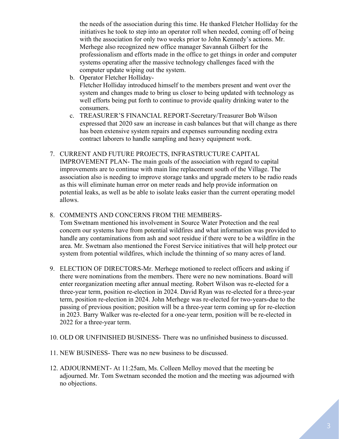the needs of the association during this time. He thanked Fletcher Holliday for the initiatives he took to step into an operator roll when needed, coming off of being with the association for only two weeks prior to John Kennedy's actions. Mr. Merhege also recognized new office manager Savannah Gilbert for the professionalism and efforts made in the office to get things in order and computer systems operating after the massive technology challenges faced with the computer update wiping out the system.

b. Operator Fletcher Holliday-

Fletcher Holliday introduced himself to the members present and went over the system and changes made to bring us closer to being updated with technology as well efforts being put forth to continue to provide quality drinking water to the consumers.

- c. TREASURER'S FINANCIAL REPORT-Secretary/Treasurer Bob Wilson expressed that 2020 saw an increase in cash balances but that will change as there has been extensive system repairs and expenses surrounding needing extra contract laborers to handle sampling and heavy equipment work.
- 7. CURRENT AND FUTURE PROJECTS, INFRASTRUCTURE CAPITAL IMPROVEMENT PLAN- The main goals of the association with regard to capital improvements are to continue with main line replacement south of the Village. The association also is needing to improve storage tanks and upgrade meters to be radio reads as this will eliminate human error on meter reads and help provide information on potential leaks, as well as be able to isolate leaks easier than the current operating model allows.

#### 8. COMMENTS AND CONCERNS FROM THE MEMBERS-

Tom Swetnam mentioned his involvement in Source Water Protection and the real concern our systems have from potential wildfires and what information was provided to handle any contaminations from ash and soot residue if there were to be a wildfire in the area. Mr. Swetnam also mentioned the Forest Service initiatives that will help protect our system from potential wildfires, which include the thinning of so many acres of land.

- 9. ELECTION OF DIRECTORS-Mr. Merhege motioned to reelect officers and asking if there were nominations from the members. There were no new nominations. Board will enter reorganization meeting after annual meeting. Robert Wilson was re-elected for a three-year term, position re-election in 2024. David Ryan was re-elected for a three-year term, position re-election in 2024. John Merhege was re-elected for two-years-due to the passing of previous position; position will be a three-year term coming up for re-election in 2023. Barry Walker was re-elected for a one-year term, position will be re-elected in 2022 for a three-year term.
- 10. OLD OR UNFINISHED BUSINESS- There was no unfinished business to discussed.
- 11. NEW BUSINESS- There was no new business to be discussed.
- 12. ADJOURNMENT- At 11:25am, Ms. Colleen Melloy moved that the meeting be adjourned. Mr. Tom Swetnam seconded the motion and the meeting was adjourned with no objections.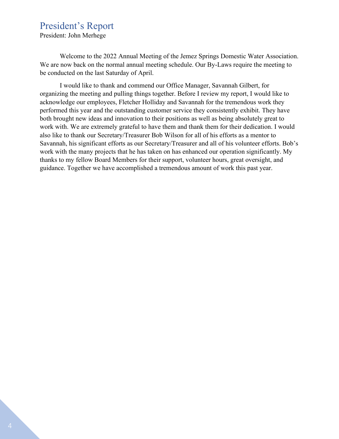# President's Report

President: John Merhege

Welcome to the 2022 Annual Meeting of the Jemez Springs Domestic Water Association. We are now back on the normal annual meeting schedule. Our By-Laws require the meeting to be conducted on the last Saturday of April.

I would like to thank and commend our Office Manager, Savannah Gilbert, for organizing the meeting and pulling things together. Before I review my report, I would like to acknowledge our employees, Fletcher Holliday and Savannah for the tremendous work they performed this year and the outstanding customer service they consistently exhibit. They have both brought new ideas and innovation to their positions as well as being absolutely great to work with. We are extremely grateful to have them and thank them for their dedication. I would also like to thank our Secretary/Treasurer Bob Wilson for all of his efforts as a mentor to Savannah, his significant efforts as our Secretary/Treasurer and all of his volunteer efforts. Bob's work with the many projects that he has taken on has enhanced our operation significantly. My thanks to my fellow Board Members for their support, volunteer hours, great oversight, and guidance. Together we have accomplished a tremendous amount of work this past year.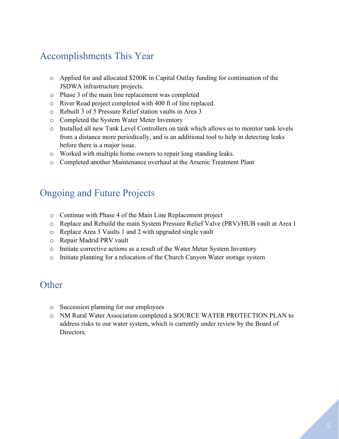# Accomplishments This Year

- o Applied for and allocated \$200K in Capital Outlay funding for continuation of the JSDWA infrastructure projects.
- o Phase 3 of the main line replacement was completed
- o River Road project completed with 400 ft of line replaced.
- o Rebuilt 3 of 5 Pressure Relief station vaults in Area 3
- o Completed the System Water Meter Inventory
- o Installed all new Tank Level Controllers on tank which allows us to monitor tank levels from a distance more periodically, and is an additional tool to help in detecting leaks before there is a major issue.
- o Worked with multiple home owners to repair long standing leaks.
- o Completed another Maintenance overhaul at the Arsenic Treatment Plant

# Ongoing and Future Projects

- o Continue with Phase 4 of the Main Line Replacement project
- o Replace and Rebuild the main System Pressure Relief Valve (PRV)/HUB vault at Area 1
- o Replace Area 3 Vaults 1 and 2 with upgraded single vault
- o Repair Madrid PRV vault
- o Initiate corrective actions as a result of the Water Meter System Inventory
- o Initiate planning for a relocation of the Church Canyon Water storage system

## **Other**

- o Succession planning for our employees
- o NM Rural Water Association completed a SOURCE WATER PROTECTION PLAN to address risks to our water system, which is currently under review by the Board of Directors.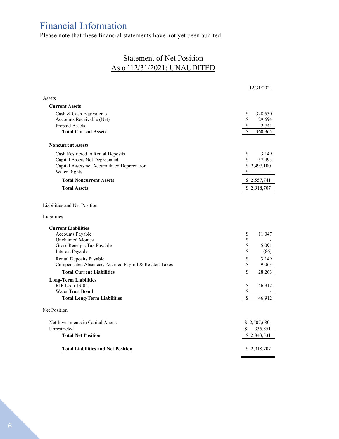# Financial Information

Please note that these financial statements have not yet been audited.

## Statement of Net Position As of 12/31/2021: UNAUDITED

|                                                       | 12/31/2021                 |
|-------------------------------------------------------|----------------------------|
| Assets                                                |                            |
| <b>Current Assets</b>                                 |                            |
| Cash & Cash Equivalents                               | \$<br>328,530              |
| Accounts Receivable (Net)                             | \$<br>29,694               |
| Prepaid Assets<br><b>Total Current Assets</b>         | \$<br>2,741<br>$\mathbf S$ |
|                                                       | 360,965                    |
| <b>Noncurrent Assets</b>                              |                            |
| Cash Restricted to Rental Deposits                    | \$<br>3,149                |
| Capital Assets Not Depreciated                        | \$<br>57,493               |
| Capital Assets net Accumulated Depreciation           | \$2,497,100                |
| Water Rights                                          | \$                         |
| <b>Total Noncurrent Assets</b>                        | \$2,557,741                |
| <b>Total Assets</b>                                   | \$2,918,707                |
| Liabilities and Net Position<br>Liabilities           |                            |
| <b>Current Liabilities</b>                            |                            |
| <b>Accounts Payable</b>                               | \$<br>11,047               |
| <b>Unclaimed Monies</b>                               | \$                         |
| Gross Receipts Tax Payable                            | \$<br>5,091                |
| Interest Payable                                      | \$<br>(86)                 |
| Rental Deposits Payable                               | \$<br>3,149                |
| Compensated Absences, Accrued Payroll & Related Taxes | \$<br>9,063                |
| <b>Total Current Liabilities</b>                      | \$<br>28,263               |
| <b>Long-Term Liabilities</b>                          |                            |
| RIP Loan 13-05                                        | \$<br>46,912               |
| Water Trust Board                                     | \$                         |
| <b>Total Long-Term Liabilities</b>                    | \$<br>46,912               |
| Net Position                                          |                            |
| Net Investments in Capital Assets                     | \$2,507,680                |
| Unrestricted                                          | 335,851                    |
| <b>Total Net Position</b>                             | \$2,843,531                |
| <b>Total Liabilities and Net Position</b>             | \$2,918,707                |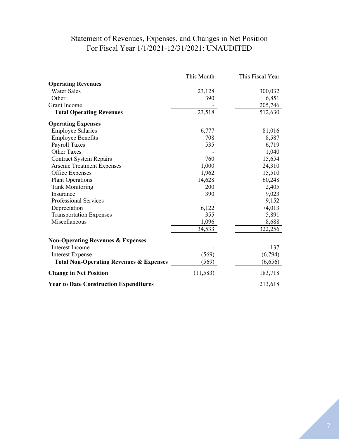# Statement of Revenues, Expenses, and Changes in Net Position For Fiscal Year 1/1/2021-12/31/2021: UNAUDITED

|                                                    | This Month | This Fiscal Year |
|----------------------------------------------------|------------|------------------|
| <b>Operating Revenues</b>                          |            |                  |
| <b>Water Sales</b>                                 | 23,128     | 300,032          |
| Other                                              | 390        | 6,851            |
| <b>Grant Income</b>                                |            | 205,746          |
| <b>Total Operating Revenues</b>                    | 23,518     | 512,630          |
| <b>Operating Expenses</b>                          |            |                  |
| <b>Employee Salaries</b>                           | 6,777      | 81,016           |
| <b>Employee Benefits</b>                           | 708        | 8,587            |
| Payroll Taxes                                      | 535        | 6,719            |
| <b>Other Taxes</b>                                 |            | 1,040            |
| <b>Contract System Repairs</b>                     | 760        | 15,654           |
| <b>Arsenic Treatment Expenses</b>                  | 1,000      | 24,310           |
| Office Expenses                                    | 1,962      | 15,510           |
| <b>Plant Operations</b>                            | 14,628     | 60,248           |
| <b>Tank Monitoring</b>                             | 200        | 2,405            |
| Insurance                                          | 390        | 9,023            |
| Professional Services                              |            | 9,152            |
| Depreciation                                       | 6,122      | 74,013           |
| <b>Transportation Expenses</b>                     | 355        | 5,891            |
| Miscellaneous                                      | 1,096      | 8,688            |
|                                                    | 34,533     | 322,256          |
| <b>Non-Operating Revenues &amp; Expenses</b>       |            |                  |
| <b>Interest Income</b>                             |            | 137              |
| <b>Interest Expense</b>                            | (569)      | (6, 794)         |
| <b>Total Non-Operating Revenues &amp; Expenses</b> | (569)      | (6,656)          |
| <b>Change in Net Position</b>                      | (11, 583)  | 183,718          |
| <b>Year to Date Construction Expenditures</b>      |            | 213,618          |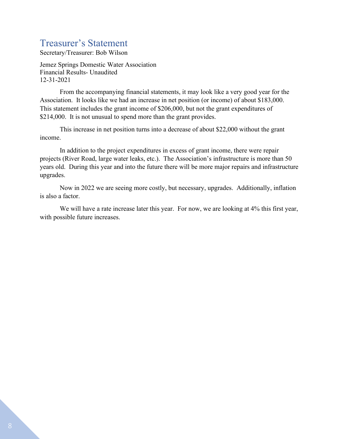# Treasurer's Statement

Secretary/Treasurer: Bob Wilson

Jemez Springs Domestic Water Association Financial Results- Unaudited 12-31-2021

From the accompanying financial statements, it may look like a very good year for the Association. It looks like we had an increase in net position (or income) of about \$183,000. This statement includes the grant income of \$206,000, but not the grant expenditures of \$214,000. It is not unusual to spend more than the grant provides.

This increase in net position turns into a decrease of about \$22,000 without the grant income.

In addition to the project expenditures in excess of grant income, there were repair projects (River Road, large water leaks, etc.). The Association's infrastructure is more than 50 years old. During this year and into the future there will be more major repairs and infrastructure upgrades.

Now in 2022 we are seeing more costly, but necessary, upgrades. Additionally, inflation is also a factor.

We will have a rate increase later this year. For now, we are looking at 4% this first year, with possible future increases.